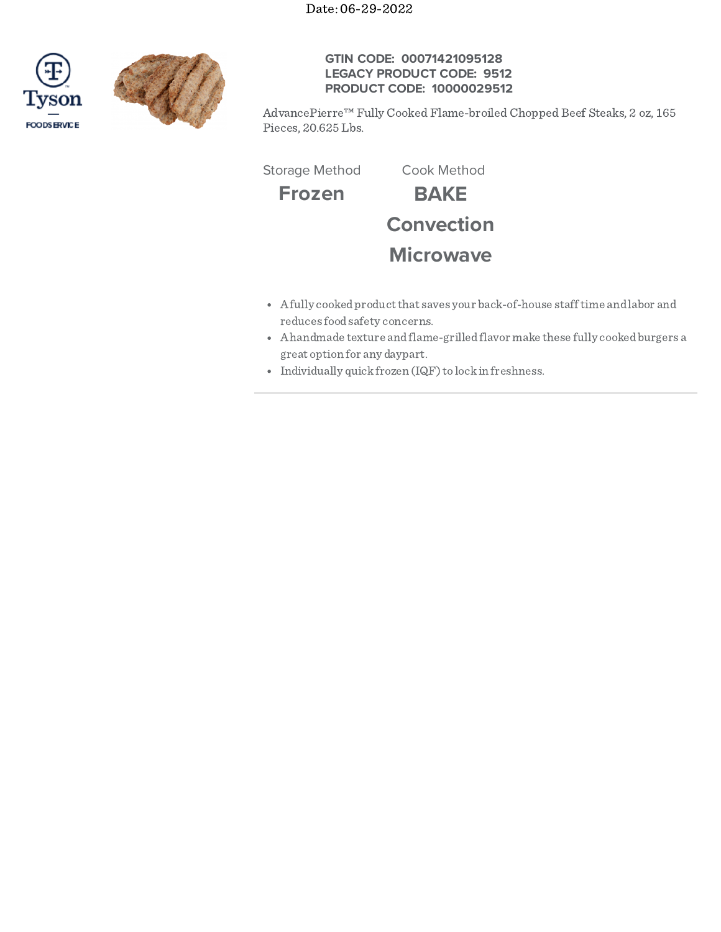Date: 06-29-2022





# **GTIN CODE: 00071421095128 LEGACY PRODUCT CODE: 9512 PRODUCT CODE: 10000029512**

AdvancePierre™ Fully Cooked Flame-broiled Chopped Beef Steaks, 2 oz, 165 Pieces, 20.625 Lbs.

Storage Method Cook Method

**Frozen BAKE Convection**

# **Microwave**

- Afully cookedproductthat saves your back-of-house stafftime andlabor and reduces foodsafety concerns.
- Ahandmade texture andflame-grilledflavor make these fully cookedburgers a great option for any daypart.
- Individually quick frozen (IQF) to lock in freshness.